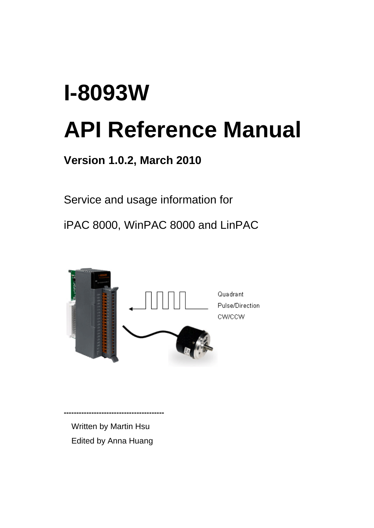# **I-8093W API Reference Manual**

# **Version 1.0.2, March 2010**

Service and usage information for

iPAC 8000, WinPAC 8000 and LinPAC



Written by Martin Hsu Edited by Anna Huang

**----------------------------------------**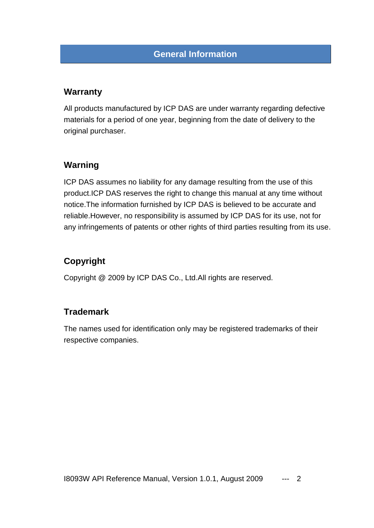#### **General Information**

#### **Warranty**

All products manufactured by ICP DAS are under warranty regarding defective materials for a period of one year, beginning from the date of delivery to the original purchaser.

#### **Warning**

ICP DAS assumes no liability for any damage resulting from the use of this product.ICP DAS reserves the right to change this manual at any time without notice.The information furnished by ICP DAS is believed to be accurate and reliable.However, no responsibility is assumed by ICP DAS for its use, not for any infringements of patents or other rights of third parties resulting from its use.

#### **Copyright**

Copyright @ 2009 by ICP DAS Co., Ltd.All rights are reserved.

#### **Trademark**

The names used for identification only may be registered trademarks of their respective companies.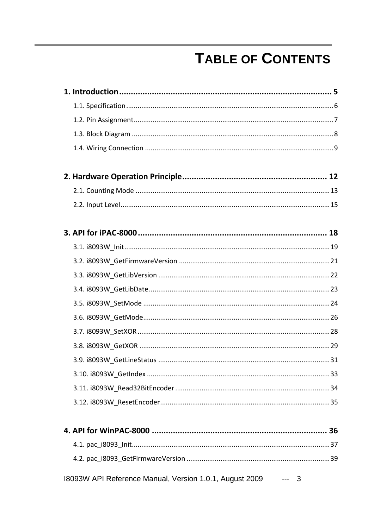# **TABLE OF CONTENTS**

| 18093W API Reference Manual, Version 1.0.1, August 2009 --- 3 |  |
|---------------------------------------------------------------|--|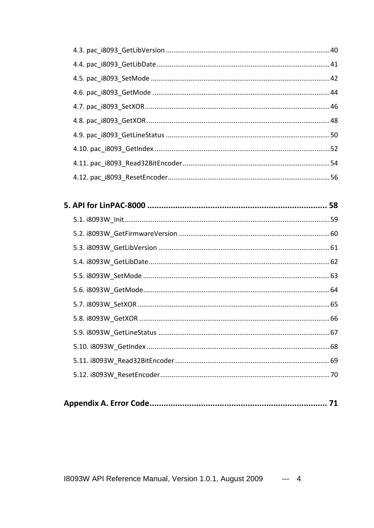|--|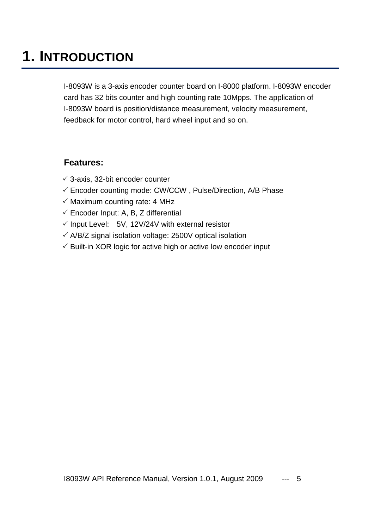# <span id="page-4-0"></span>**1. INTRODUCTION**

I-8093W is a 3-axis encoder counter board on I-8000 platform. I-8093W encoder card has 32 bits counter and high counting rate 10Mpps. The application of I-8093W board is position/distance measurement, velocity measurement, feedback for motor control, hard wheel input and so on.

#### **Features:**

- $\checkmark$  3-axis, 32-bit encoder counter
- $\checkmark$  Encoder counting mode: CW/CCW, Pulse/Direction, A/B Phase
- $\checkmark$  Maximum counting rate: 4 MHz
- $\checkmark$  Encoder Input: A, B, Z differential
- $\checkmark$  Input Level: 5V, 12V/24V with external resistor
- $\checkmark$  A/B/Z signal isolation voltage: 2500V optical isolation
- $\checkmark$  Built-in XOR logic for active high or active low encoder input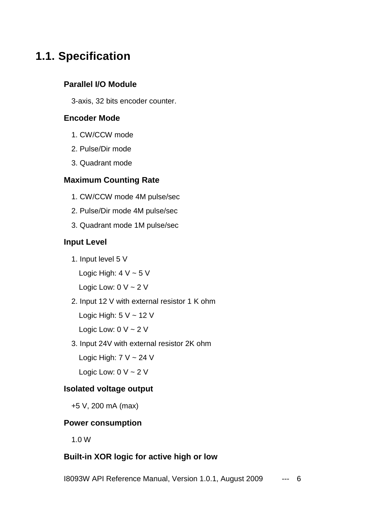# <span id="page-5-0"></span>**1.1. Specification**

#### **Parallel I/O Module**

3-axis, 32 bits encoder counter.

#### **Encoder Mode**

- 1. CW/CCW mode
- 2. Pulse/Dir mode
- 3. Quadrant mode

#### **Maximum Counting Rate**

- 1. CW/CCW mode 4M pulse/sec
- 2. Pulse/Dir mode 4M pulse/sec
- 3. Quadrant mode 1M pulse/sec

#### **Input Level**

1. Input level 5 V

Logic High:  $4 V \sim 5 V$ 

Logic Low:  $0 \vee - 2 \vee$ 

2. Input 12 V with external resistor 1 K ohm

Logic High:  $5 V \sim 12 V$ 

Logic Low:  $0 \vee - 2 \vee$ 

- 3. Input 24V with external resistor 2K ohm
	- Logic High:  $7 V \sim 24 V$
	- Logic Low:  $0 \vee -2 \vee$

#### **Isolated voltage output**

+5 V, 200 mA (max)

#### **Power consumption**

1.0 W

#### **Built-in XOR logic for active high or low**

I8093W API Reference Manual, Version 1.0.1, August 2009 --- 6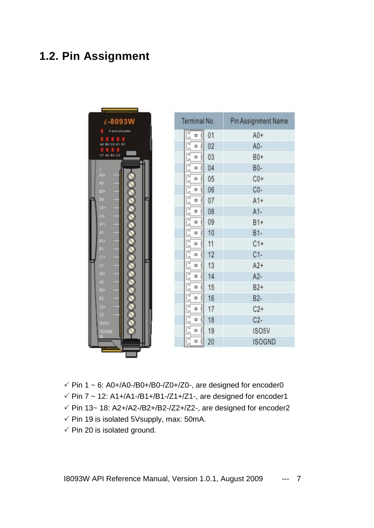# <span id="page-6-0"></span>**1.2. Pin Assignment**



| Terminal No.                                                                                                                                                                                                                                                                                                                                                                               |    | Pin Assignment Name |
|--------------------------------------------------------------------------------------------------------------------------------------------------------------------------------------------------------------------------------------------------------------------------------------------------------------------------------------------------------------------------------------------|----|---------------------|
| C<br>o                                                                                                                                                                                                                                                                                                                                                                                     | 01 | $A0+$               |
| C<br>u                                                                                                                                                                                                                                                                                                                                                                                     | 02 | A0-                 |
| př.<br>$\Omega$                                                                                                                                                                                                                                                                                                                                                                            | 03 | <b>B0+</b>          |
|                                                                                                                                                                                                                                                                                                                                                                                            | 04 | <b>B0-</b>          |
|                                                                                                                                                                                                                                                                                                                                                                                            | 05 | $CO+$               |
| $\  \frac{1}{2} \frac{1}{2} \frac{1}{2} \frac{1}{2} \frac{1}{2} \frac{1}{2} \frac{1}{2} \frac{1}{2} \frac{1}{2} \frac{1}{2} \frac{1}{2} \frac{1}{2} \frac{1}{2} \frac{1}{2} \frac{1}{2} \frac{1}{2} \frac{1}{2} \frac{1}{2} \frac{1}{2} \frac{1}{2} \frac{1}{2} \frac{1}{2} \frac{1}{2} \frac{1}{2} \frac{1}{2} \frac{1}{2} \frac{1}{2} \frac{1}{2} \frac{1}{2} \frac{1}{2} \frac{1}{2} \$ | 06 | $CO-$               |
| 돌록돌록놀루돌록<br>$\Box$                                                                                                                                                                                                                                                                                                                                                                         | 07 | $A1+$               |
| o                                                                                                                                                                                                                                                                                                                                                                                          | 08 | $A1-$               |
| $\Box$                                                                                                                                                                                                                                                                                                                                                                                     | 09 | $B1+$               |
| $\overline{\phantom{a}}$                                                                                                                                                                                                                                                                                                                                                                   | 10 | B1-                 |
| $\Box$                                                                                                                                                                                                                                                                                                                                                                                     | 11 | $C1+$               |
| pi<br>Li<br>$\Box$                                                                                                                                                                                                                                                                                                                                                                         | 12 | $C1-$               |
| C,<br>$\Box$                                                                                                                                                                                                                                                                                                                                                                               | 13 | $A2+$               |
| C,<br>$\overline{u}$                                                                                                                                                                                                                                                                                                                                                                       | 14 | $A2-$               |
| ļ.                                                                                                                                                                                                                                                                                                                                                                                         | 15 | $B2+$               |
| C<br>O                                                                                                                                                                                                                                                                                                                                                                                     | 16 | B <sub>2</sub> -    |
| $\overline{a}$                                                                                                                                                                                                                                                                                                                                                                             | 17 | $C2+$               |
| 돌록돌록돌록<br>$\Box$                                                                                                                                                                                                                                                                                                                                                                           | 18 | $C2 -$              |
| $\overline{\mathbf{u}}$                                                                                                                                                                                                                                                                                                                                                                    | 19 | ISO5V               |
| ٦Ĵ<br>$\overline{\mathbf{u}}$                                                                                                                                                                                                                                                                                                                                                              | 20 | <b>ISOGND</b>       |

- $\checkmark$  Pin 1 ~ 6: A0+/A0-/B0+/B0-/Z0+/Z0-, are designed for encoder0
- $\checkmark$  Pin 7 ~ 12: A1+/A1-/B1+/B1-/Z1+/Z1-, are designed for encoder1
- $\checkmark$  Pin 13~ 18: A2+/A2-/B2+/B2-/Z2+/Z2-, are designed for encoder2
- $\checkmark$  Pin 19 is isolated 5Vsupply, max: 50mA.
- $\checkmark$  Pin 20 is isolated ground.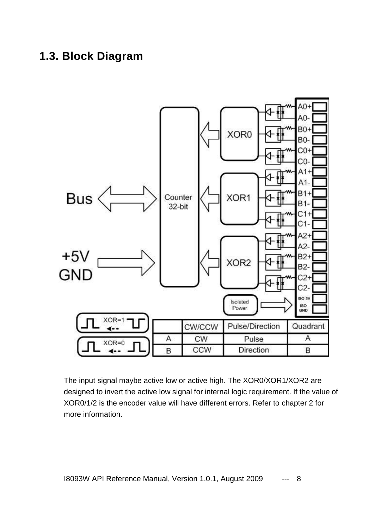### <span id="page-7-0"></span>**1.3. Block Diagram**



The input signal maybe active low or active high. The XOR0/XOR1/XOR2 are designed to invert the active low signal for internal logic requirement. If the value of XOR0/1/2 is the encoder value will have different errors. Refer to chapter 2 for more information.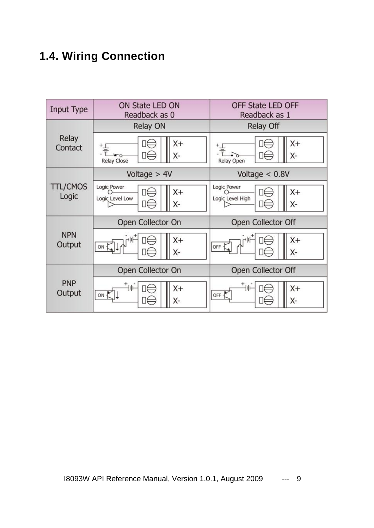# <span id="page-8-0"></span>**1.4. Wiring Connection**

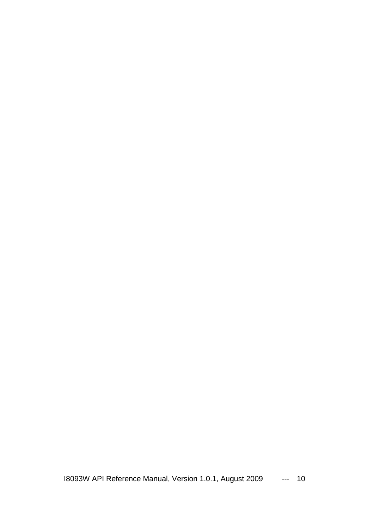I8093W API Reference Manual, Version 1.0.1, August 2009 --- 10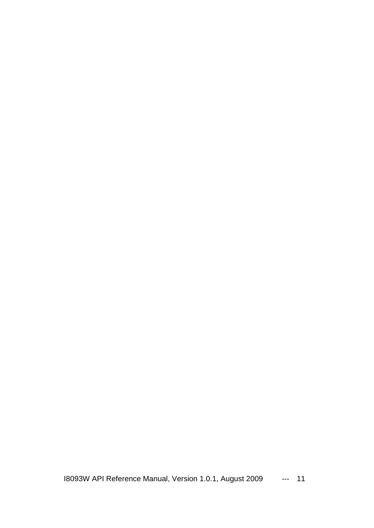I8093W API Reference Manual, Version 1.0.1, August 2009 --- 11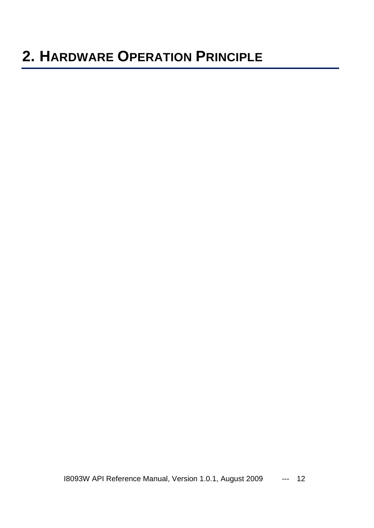# <span id="page-11-0"></span>**2. HARDWARE OPERATION PRINCIPLE**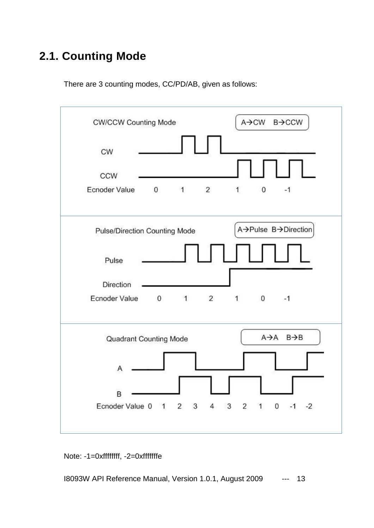# <span id="page-12-0"></span>**2.1. Counting Mode**

There are 3 counting modes, CC/PD/AB, given as follows:



Note: -1=0xffffffff, -2=0xfffffffe

I8093W API Reference Manual, Version 1.0.1, August 2009 --- 13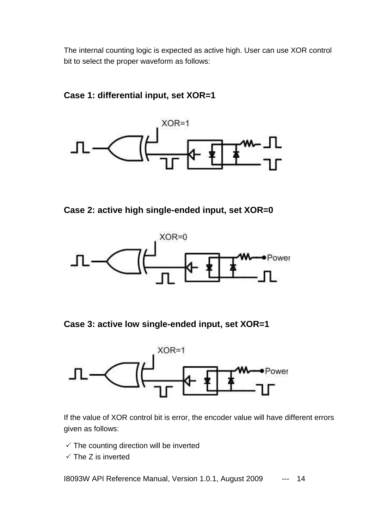The internal counting logic is expected as active high. User can use XOR control bit to select the proper waveform as follows:





**Case 2: active high single-ended input, set XOR=0**



**Case 3: active low single-ended input, set XOR=1**



If the value of XOR control bit is error, the encoder value will have different errors given as follows:

 $\checkmark$  The counting direction will be inverted

 $\checkmark$  The Z is inverted

I8093W API Reference Manual, Version 1.0.1, August 2009 --- 14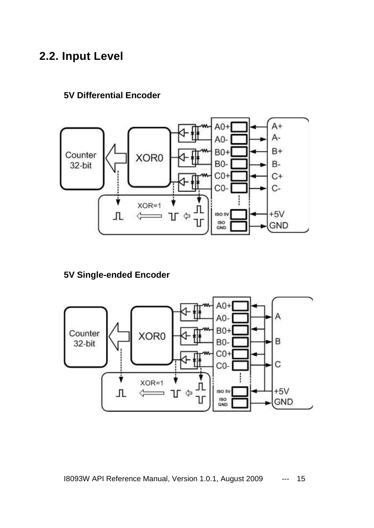### <span id="page-14-0"></span>**2.2. Input Level**

#### **5V Differential Encoder**



### **5V Single-ended Encoder**

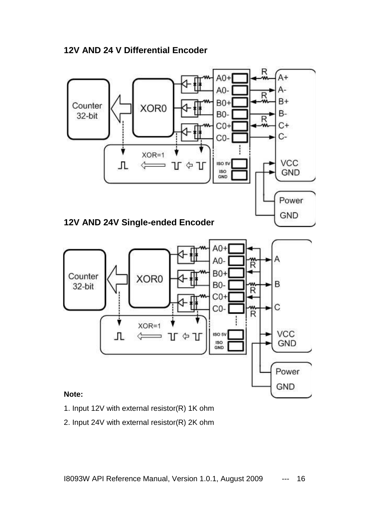#### **12V AND 24 V Differential Encoder**



- 1. Input 12V with external resistor(R) 1K ohm
- 2. Input 24V with external resistor(R) 2K ohm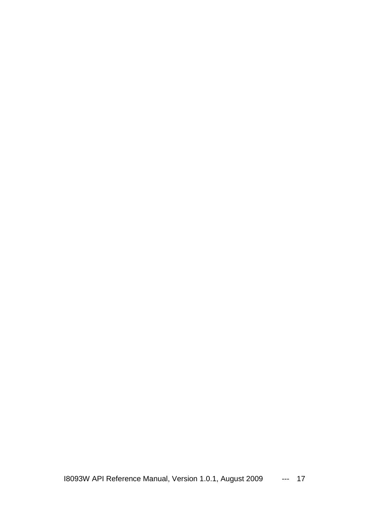I8093W API Reference Manual, Version 1.0.1, August 2009 --- 17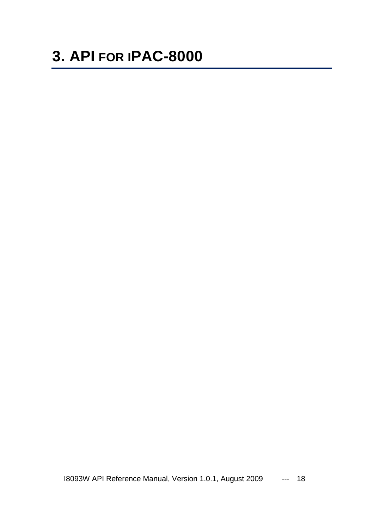<span id="page-17-0"></span>I8093W API Reference Manual, Version 1.0.1, August 2009 --- 18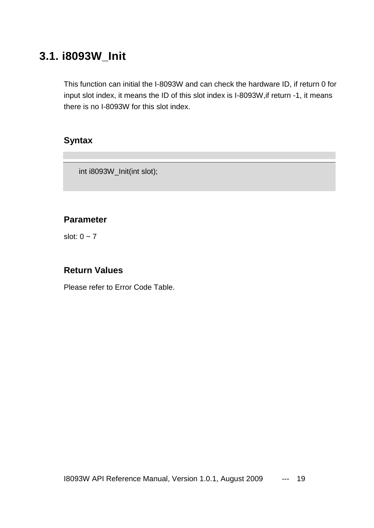# <span id="page-18-0"></span>**3.1. i8093W\_Init**

This function can initial the I-8093W and can check the hardware ID, if return 0 for input slot index, it means the ID of this slot index is I-8093W,if return -1, it means there is no I-8093W for this slot index.

#### **Syntax**

int i8093W\_Init(int slot);

#### **Parameter**

slot:  $0 \sim 7$ 

#### **Return Values**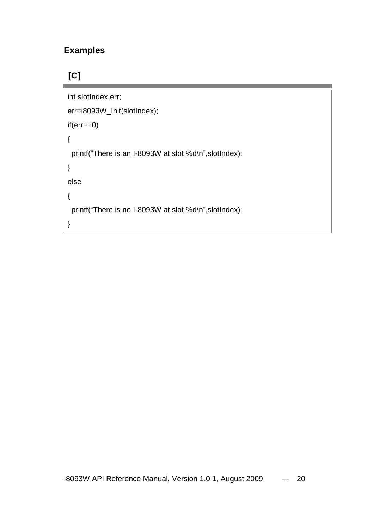```
int slotIndex,err;
err=i8093W_Init(slotIndex);
if(err==0)
{
 printf("There is an I-8093W at slot %d\n", slotIndex);
}
else
{
 printf("There is no I-8093W at slot %d\n", slotIndex);
}
```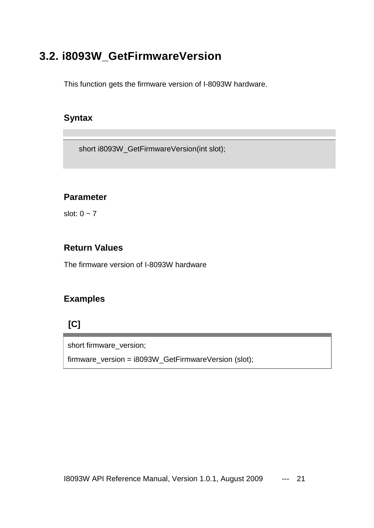# <span id="page-20-0"></span>**3.2. i8093W\_GetFirmwareVersion**

This function gets the firmware version of I-8093W hardware.

#### **Syntax**

short i8093W\_GetFirmwareVersion(int slot);

#### **Parameter**

slot:  $0 \sim 7$ 

#### **Return Values**

The firmware version of I-8093W hardware

#### **Examples**

### **[C]**

short firmware\_version;

firmware\_version = i8093W\_GetFirmwareVersion (slot);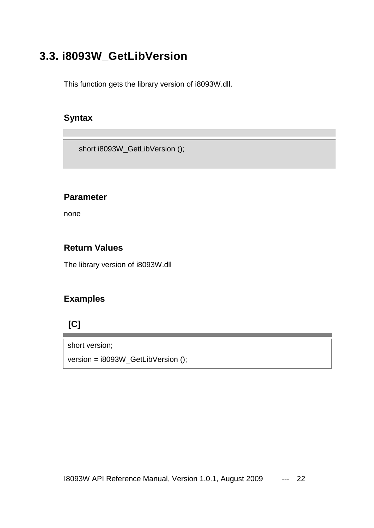# <span id="page-21-0"></span>**3.3. i8093W\_GetLibVersion**

This function gets the library version of i8093W.dll.

#### **Syntax**

short i8093W\_GetLibVersion ();

#### **Parameter**

none

#### **Return Values**

The library version of i8093W.dll

#### **Examples**

### **[C]**

short version;

version = i8093W\_GetLibVersion ();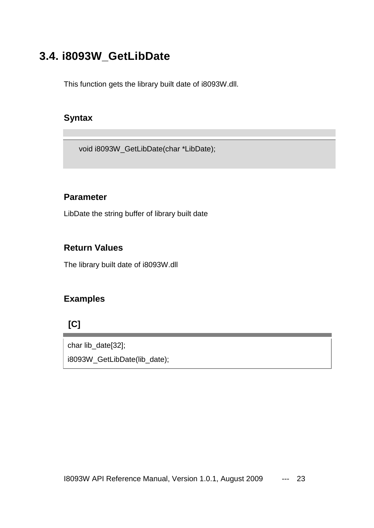# <span id="page-22-0"></span>**3.4. i8093W\_GetLibDate**

This function gets the library built date of i8093W.dll.

#### **Syntax**

void i8093W\_GetLibDate(char \*LibDate);

#### **Parameter**

LibDate the string buffer of library built date

#### **Return Values**

The library built date of i8093W.dll

#### **Examples**

### **[C]**

char lib\_date[32]; i8093W\_GetLibDate(lib\_date);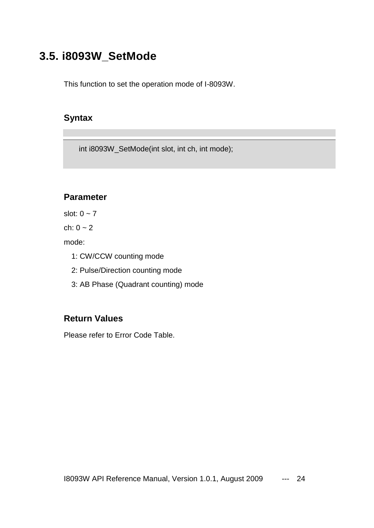# <span id="page-23-0"></span>**3.5. i8093W\_SetMode**

This function to set the operation mode of I-8093W.

#### **Syntax**

int i8093W\_SetMode(int slot, int ch, int mode);

#### **Parameter**

- slot:  $0 \sim 7$
- ch:  $0 2$

mode:

- 1: CW/CCW counting mode
- 2: Pulse/Direction counting mode
- 3: AB Phase (Quadrant counting) mode

#### **Return Values**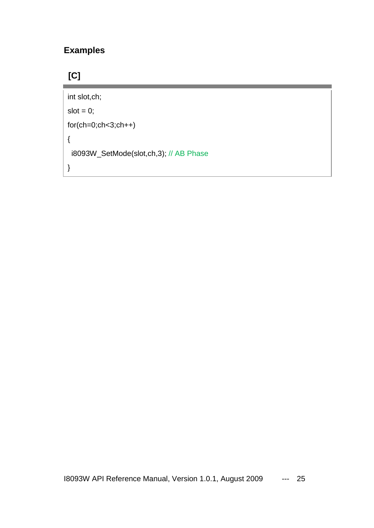```
int slot,ch;
slot = 0;for(ch=0;ch<3;ch++)
{
 i8093W_SetMode(slot,ch,3); // AB Phase
}
```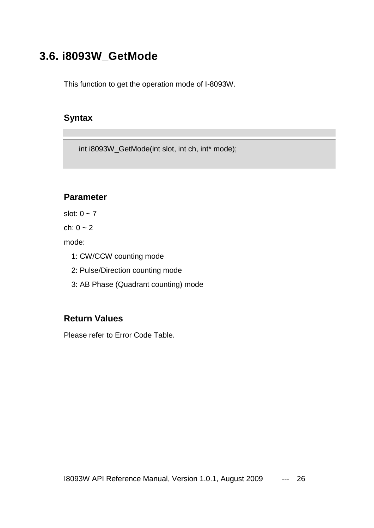### <span id="page-25-0"></span>**3.6. i8093W\_GetMode**

This function to get the operation mode of I-8093W.

#### **Syntax**

int i8093W\_GetMode(int slot, int ch, int\* mode);

#### **Parameter**

- slot:  $0 \sim 7$
- ch:  $0 2$

mode:

- 1: CW/CCW counting mode
- 2: Pulse/Direction counting mode
- 3: AB Phase (Quadrant counting) mode

#### **Return Values**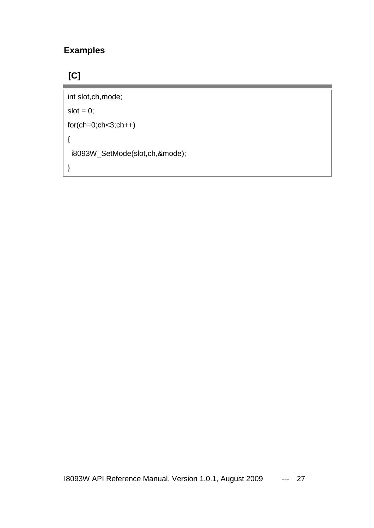### **[C]**

{

}

```
int slot,ch,mode;
```
 $slot = 0;$ 

```
for(ch=0;ch<3;ch++)
```
i8093W\_SetMode(slot,ch,&mode);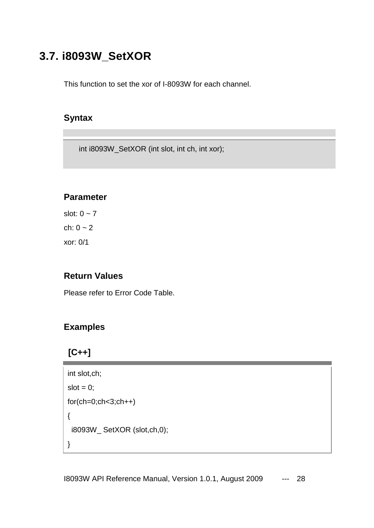# <span id="page-27-0"></span>**3.7. i8093W\_SetXOR**

This function to set the xor of I-8093W for each channel.

#### **Syntax**

int i8093W\_SetXOR (int slot, int ch, int xor);

#### **Parameter**

slot:  $0 \sim 7$ ch: 0 ~ 2 xor: 0/1

#### **Return Values**

Please refer to Error Code Table.

#### **Examples**

#### **[C++]**

```
int slot,ch;
slot = 0;for(ch=0; ch<3; ch++){
 i8093W_ SetXOR (slot,ch,0);
}
```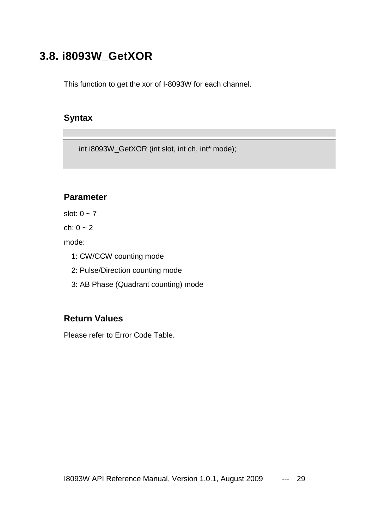# <span id="page-28-0"></span>**3.8. i8093W\_GetXOR**

This function to get the xor of I-8093W for each channel.

#### **Syntax**

int i8093W\_GetXOR (int slot, int ch, int\* mode);

#### **Parameter**

- slot:  $0 \sim 7$
- ch:  $0 2$

mode:

- 1: CW/CCW counting mode
- 2: Pulse/Direction counting mode
- 3: AB Phase (Quadrant counting) mode

#### **Return Values**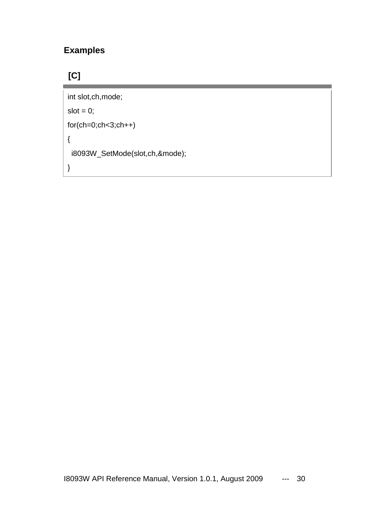### **[C]**

{

}

```
int slot,ch,mode;
```
 $slot = 0;$ 

```
for(ch=0;ch<3;ch++)
```
i8093W\_SetMode(slot,ch,&mode);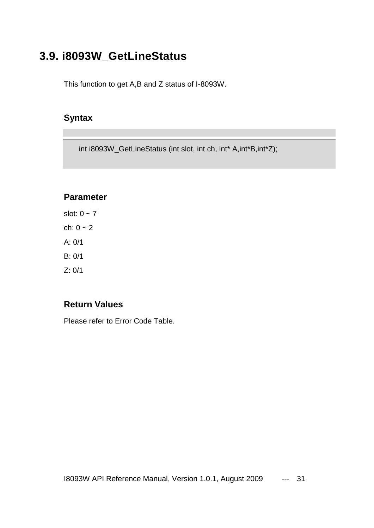### <span id="page-30-0"></span>**3.9. i8093W\_GetLineStatus**

This function to get A,B and Z status of I-8093W.

#### **Syntax**

int i8093W\_GetLineStatus (int slot, int ch, int\* A,int\*B,int\*Z);

#### **Parameter**

slot:  $0 \sim 7$ ch:  $0 - 2$ A: 0/1 B: 0/1 Z: 0/1

#### **Return Values**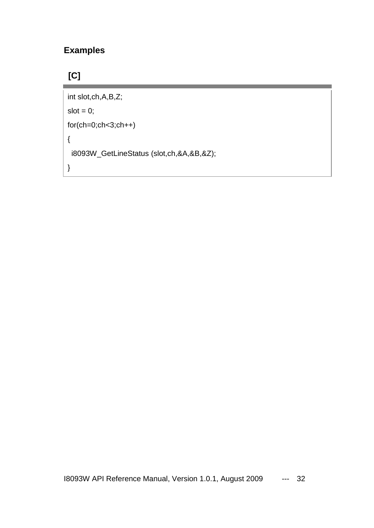### **[C]**

{

}

```
int slot,ch,A,B,Z;
slot = 0;
```

```
for(ch=0;ch<3;ch++)
```
i8093W\_GetLineStatus (slot,ch,&A,&B,&Z);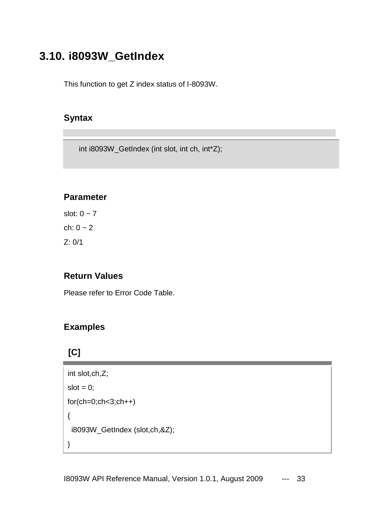# <span id="page-32-0"></span>**3.10. i8093W\_GetIndex**

This function to get Z index status of I-8093W.

#### **Syntax**

int i8093W\_GetIndex (int slot, int ch, int\*Z);

#### **Parameter**

slot:  $0 \sim 7$ ch:  $0 - 2$ Z: 0/1

#### **Return Values**

Please refer to Error Code Table.

#### **Examples**

```
int slot,ch,Z;
slot = 0;for(ch=0; ch<3; ch++){
 i8093W_GetIndex (slot,ch,&Z);
}
```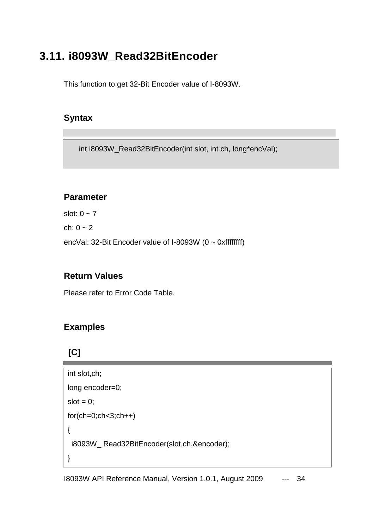# <span id="page-33-0"></span>**3.11. i8093W\_Read32BitEncoder**

This function to get 32-Bit Encoder value of I-8093W.

#### **Syntax**

int i8093W\_Read32BitEncoder(int slot, int ch, long\*encVal);

#### **Parameter**

slot:  $0 \sim 7$ ch: 0 ~ 2 encVal: 32-Bit Encoder value of I-8093W (0 ~ 0xffffffff)

#### **Return Values**

Please refer to Error Code Table.

#### **Examples**

```
int slot,ch;
long encoder=0;
slot = 0;for(ch=0; ch<3; ch++){
 i8093W_ Read32BitEncoder(slot,ch,&encoder);
}
```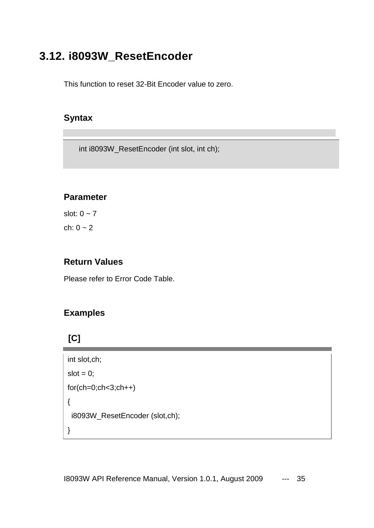# <span id="page-34-0"></span>**3.12. i8093W\_ResetEncoder**

This function to reset 32-Bit Encoder value to zero.

#### **Syntax**

int i8093W\_ResetEncoder (int slot, int ch);

#### **Parameter**

slot:  $0 \sim 7$ ch:  $0 - 2$ 

#### **Return Values**

Please refer to Error Code Table.

#### **Examples**

```
int slot,ch;
slot = 0;for(ch=0; ch<3; ch++){
i8093W_ResetEncoder (slot,ch);
}
```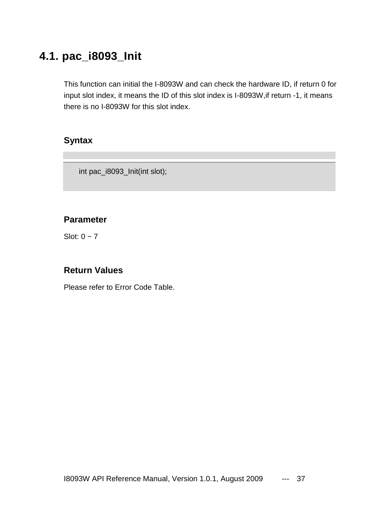# <span id="page-36-0"></span>**4.1. pac\_i8093\_Init**

This function can initial the I-8093W and can check the hardware ID, if return 0 for input slot index, it means the ID of this slot index is I-8093W,if return -1, it means there is no I-8093W for this slot index.

#### **Syntax**

int pac\_i8093\_Init(int slot);

#### **Parameter**

Slot:  $0 \sim 7$ 

#### **Return Values**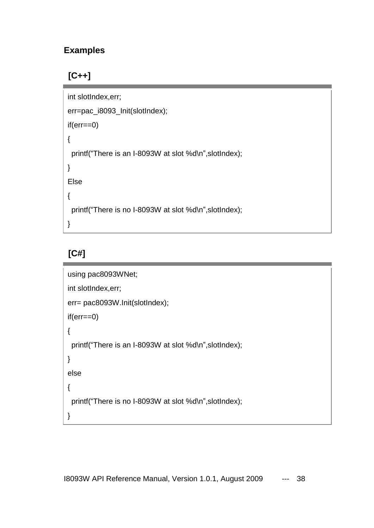### **[C++]**

```
int slotIndex, err;
err=pac_i8093_Init(slotIndex);
if(err==0)
{
 printf("There is an I-8093W at slot %d\n", slotIndex);
}
Else
{
 printf("There is no I-8093W at slot %d\n", slotIndex);
}
```
# **[C#]**

```
using pac8093WNet;
int slotIndex, err;
err= pac8093W.Init(slotIndex);
if(err==0)
{
 printf("There is an I-8093W at slot %d\n", slotIndex);
}
else
{
 printf("There is no I-8093W at slot %d\n", slotIndex);
}
```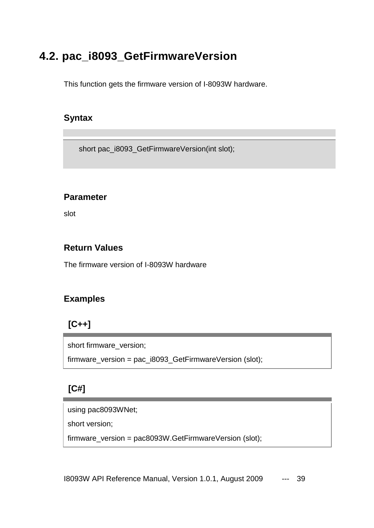# <span id="page-38-0"></span>**4.2. pac\_i8093\_GetFirmwareVersion**

This function gets the firmware version of I-8093W hardware.

#### **Syntax**

short pac\_i8093\_GetFirmwareVersion(int slot);

#### **Parameter**

slot

#### **Return Values**

The firmware version of I-8093W hardware

#### **Examples**

**[C++]**

short firmware\_version;

firmware\_version = pac\_i8093\_GetFirmwareVersion (slot);

### **[C#]**

using pac8093WNet;

short version;

firmware\_version = pac8093W.GetFirmwareVersion (slot);

I8093W API Reference Manual, Version 1.0.1, August 2009 --- 39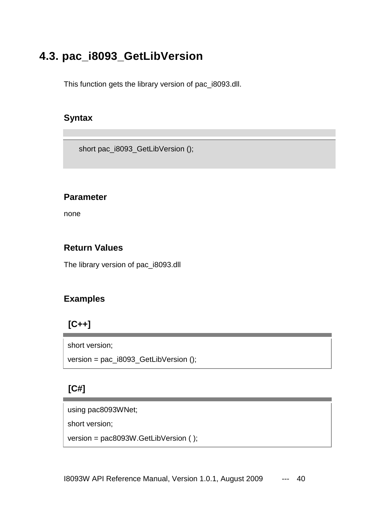# <span id="page-39-0"></span>**4.3. pac\_i8093\_GetLibVersion**

This function gets the library version of pac\_i8093.dll.

#### **Syntax**

short pac\_i8093\_GetLibVersion ();

#### **Parameter**

none

#### **Return Values**

The library version of pac\_i8093.dll

#### **Examples**

**[C++]**

short version;

version = pac\_i8093\_GetLibVersion ();

### **[C#]**

using pac8093WNet;

short version;

version = pac8093W.GetLibVersion ( );

I8093W API Reference Manual, Version 1.0.1, August 2009 --- 40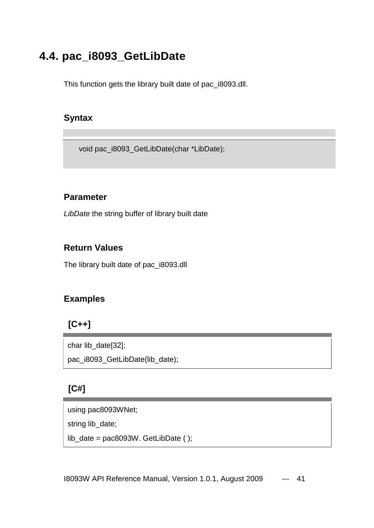# <span id="page-40-0"></span>**4.4. pac\_i8093\_GetLibDate**

This function gets the library built date of pac\_i8093.dll.

#### **Syntax**

void pac\_i8093\_GetLibDate(char \*LibDate);

#### **Parameter**

*LibDate* the string buffer of library built date

#### **Return Values**

The library built date of pac\_i8093.dll

#### **Examples**

**[C++]**

char lib\_date[32]; pac\_i8093\_GetLibDate(lib\_date);

### **[C#]**

using pac8093WNet;

string lib\_date;

lib\_date = pac8093W. GetLibDate ( );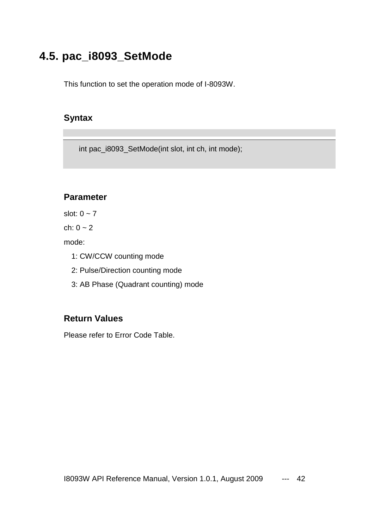# <span id="page-41-0"></span>**4.5. pac\_i8093\_SetMode**

This function to set the operation mode of I-8093W.

#### **Syntax**

int pac\_i8093\_SetMode(int slot, int ch, int mode);

#### **Parameter**

- slot:  $0 \sim 7$
- ch:  $0 2$

mode:

- 1: CW/CCW counting mode
- 2: Pulse/Direction counting mode
- 3: AB Phase (Quadrant counting) mode

#### **Return Values**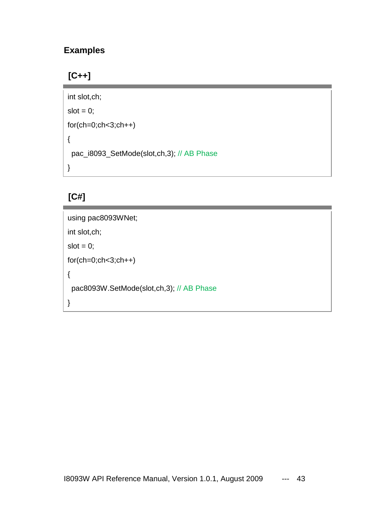### **[C++]**

```
int slot,ch;
slot = 0;for(ch=0; ch<3; ch++){
 pac_i8093_SetMode(slot,ch,3); // AB Phase
}
```
# **[C#]**

```
using pac8093WNet;
int slot,ch;
slot = 0;for(ch=0; ch<3; ch++){
 pac8093W.SetMode(slot,ch,3); // AB Phase
}
```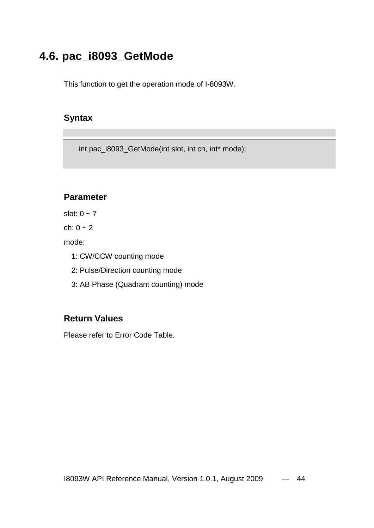### <span id="page-43-0"></span>**4.6. pac\_i8093\_GetMode**

This function to get the operation mode of I-8093W.

#### **Syntax**

int pac\_i8093\_GetMode(int slot, int ch, int\* mode);

#### **Parameter**

- slot:  $0 \sim 7$
- ch: 0 ~ 2

mode:

- 1: CW/CCW counting mode
- 2: Pulse/Direction counting mode
- 3: AB Phase (Quadrant counting) mode

#### **Return Values**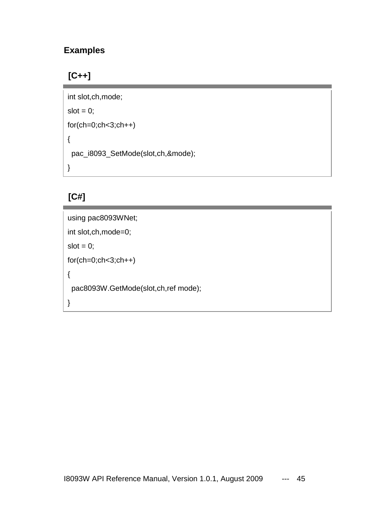### **[C++]**

```
int slot,ch,mode;
slot = 0;for(ch=0; ch<3; ch++){
 pac_i8093_SetMode(slot,ch,&mode);
```
# **[C#]**

}

```
using pac8093WNet;
int slot,ch,mode=0;
slot = 0;for(ch=0; ch<3; ch++){
 pac8093W.GetMode(slot,ch,ref mode);
}
```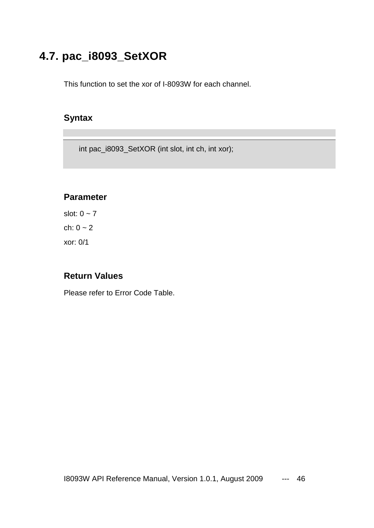# <span id="page-45-0"></span>**4.7. pac\_i8093\_SetXOR**

This function to set the xor of I-8093W for each channel.

#### **Syntax**

int pac\_i8093\_SetXOR (int slot, int ch, int xor);

#### **Parameter**

slot:  $0 \sim 7$ ch:  $0 - 2$ xor: 0/1

#### **Return Values**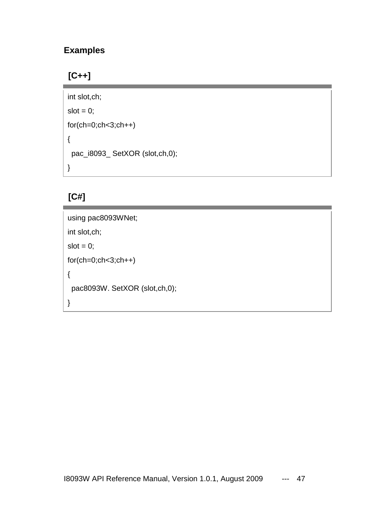### **[C++]**

```
int slot,ch;
slot = 0;for(ch=0; ch<3; ch++){
 pac_i8093_ SetXOR (slot,ch,0);
}
```
# **[C#]**

```
using pac8093WNet;
int slot,ch;
slot = 0;for(ch=0; ch<3; ch++){
 pac8093W. SetXOR (slot,ch,0);
}
```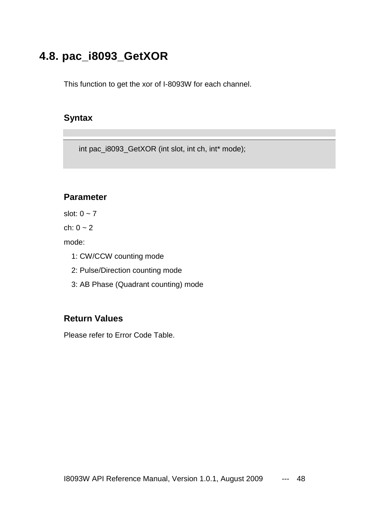# <span id="page-47-0"></span>**4.8. pac\_i8093\_GetXOR**

This function to get the xor of I-8093W for each channel.

#### **Syntax**

int pac\_i8093\_GetXOR (int slot, int ch, int\* mode);

#### **Parameter**

- slot:  $0 \sim 7$
- ch: 0 ~ 2

mode:

- 1: CW/CCW counting mode
- 2: Pulse/Direction counting mode
- 3: AB Phase (Quadrant counting) mode

#### **Return Values**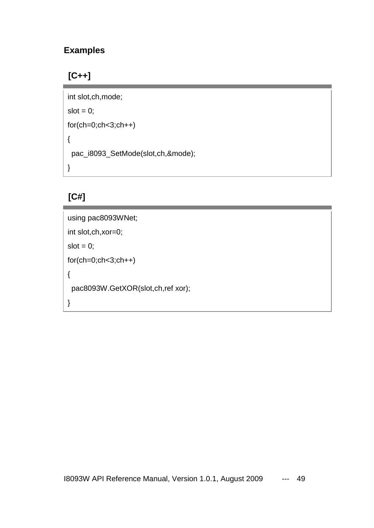### **[C++]**

```
int slot,ch,mode;
slot = 0;for(ch=0; ch<3; ch++){
 pac_i8093_SetMode(slot,ch,&mode);
```
# **[C#]**

}

```
using pac8093WNet;
int slot,ch,xor=0;
slot = 0;for(ch=0; ch<3; ch++){
 pac8093W.GetXOR(slot,ch,ref xor);
}
```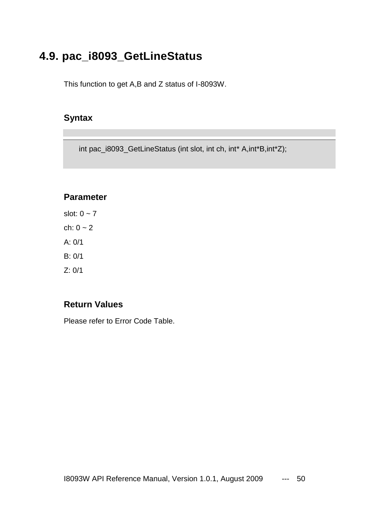# <span id="page-49-0"></span>**4.9. pac\_i8093\_GetLineStatus**

This function to get A,B and Z status of I-8093W.

#### **Syntax**

int pac\_i8093\_GetLineStatus (int slot, int ch, int\* A,int\*B,int\*Z);

#### **Parameter**

slot:  $0 \sim 7$ ch:  $0 - 2$ A: 0/1 B: 0/1 Z: 0/1

#### **Return Values**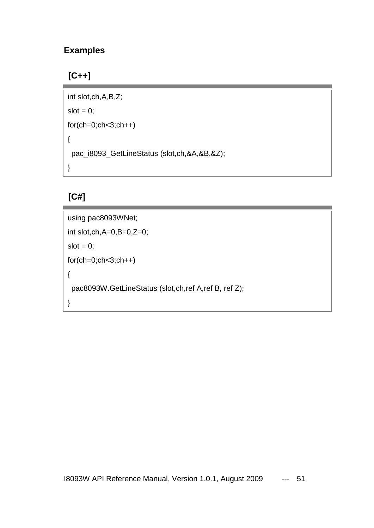### **[C++]**

```
int slot,ch,A,B,Z;
slot = 0;for(ch=0; ch<3; ch++){
 pac_i8093_GetLineStatus (slot,ch,&A,&B,&Z);
}
```
# **[C#]**

```
using pac8093WNet;
int slot,ch,A=0,B=0,Z=0;
slot = 0;for(ch=0; ch<3; ch++){
 pac8093W.GetLineStatus (slot,ch,ref A,ref B, ref Z);
}
```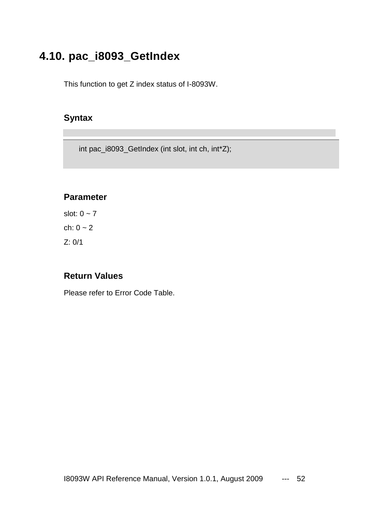# <span id="page-51-0"></span>**4.10. pac\_i8093\_GetIndex**

This function to get Z index status of I-8093W.

#### **Syntax**

int pac\_i8093\_GetIndex (int slot, int ch, int\*Z);

#### **Parameter**

slot:  $0 \sim 7$ ch:  $0 - 2$ Z: 0/1

#### **Return Values**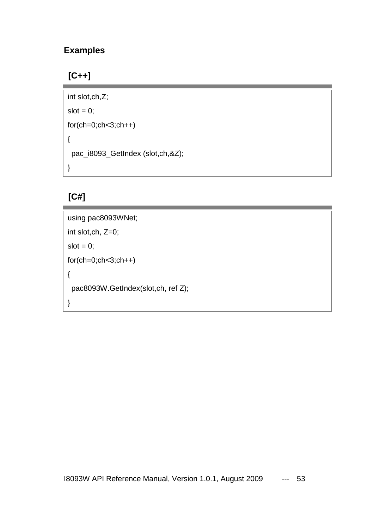### **[C++]**

```
int slot,ch,Z;
slot = 0;for(ch=0; ch<3; ch++){
 pac_i8093_GetIndex (slot,ch,&Z);
}
```
# **[C#]**

```
using pac8093WNet;
int slot,ch, Z=0;
slot = 0;for(ch=0; ch<3; ch++){
 pac8093W.GetIndex(slot,ch, ref Z);
}
```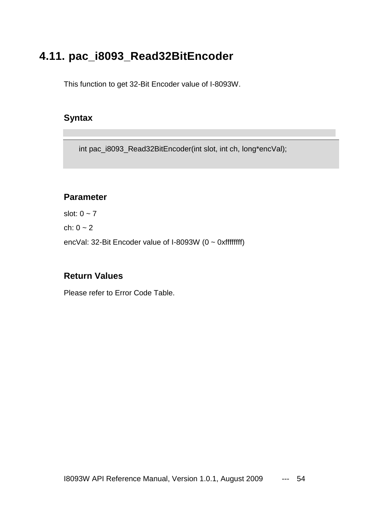# <span id="page-53-0"></span>**4.11. pac\_i8093\_Read32BitEncoder**

This function to get 32-Bit Encoder value of I-8093W.

#### **Syntax**

int pac\_i8093\_Read32BitEncoder(int slot, int ch, long\*encVal);

#### **Parameter**

slot:  $0 \sim 7$ ch:  $0 - 2$ encVal: 32-Bit Encoder value of I-8093W (0 ~ 0xffffffff)

#### **Return Values**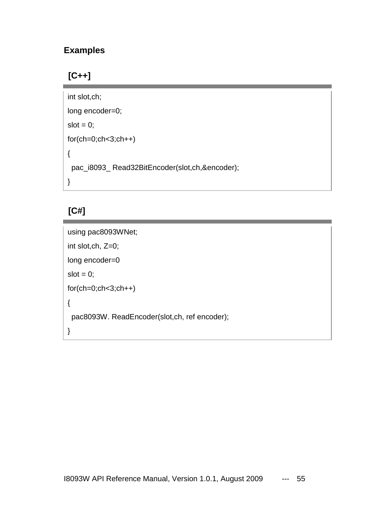### **[C++]**

```
int slot,ch;
long encoder=0;
slot = 0;for(ch=0; ch<3; ch++){
 pac_i8093_ Read32BitEncoder(slot,ch,&encoder);
}
```
### **[C#]**

```
using pac8093WNet;
int slot,ch, Z=0;
long encoder=0
slot = 0;for(ch=0; ch<3; ch++){
 pac8093W. ReadEncoder(slot,ch, ref encoder);
}
```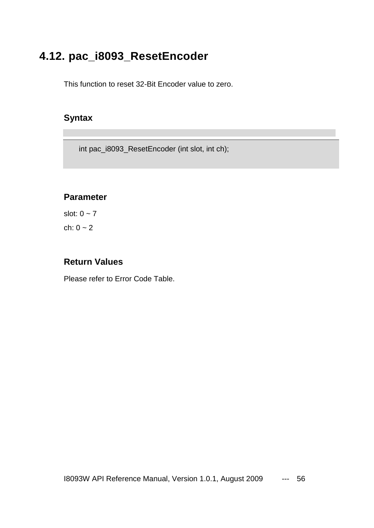# <span id="page-55-0"></span>**4.12. pac\_i8093\_ResetEncoder**

This function to reset 32-Bit Encoder value to zero.

#### **Syntax**

int pac\_i8093\_ResetEncoder (int slot, int ch);

#### **Parameter**

slot:  $0 \sim 7$ ch:  $0 - 2$ 

#### **Return Values**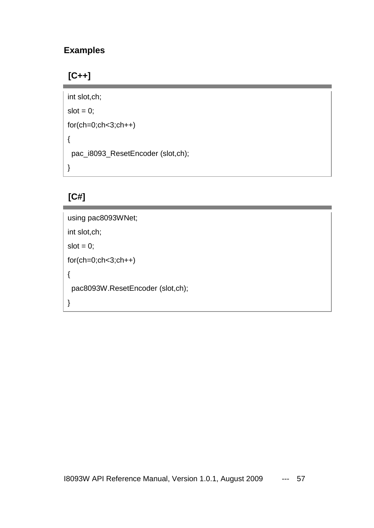### **[C++]**

```
int slot,ch;
slot = 0;for(ch=0; ch<3; ch++){
 pac_i8093_ResetEncoder (slot,ch);
}
```
# **[C#]**

```
using pac8093WNet;
int slot,ch;
slot = 0;for(ch=0; ch<3; ch++){
 pac8093W.ResetEncoder (slot,ch);
}
```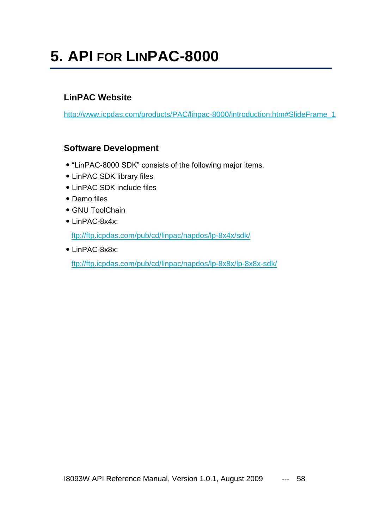#### <span id="page-57-0"></span>**LinPAC Website**

[http://www.icpdas.com/products/PAC/linpac-8000/introduction.htm#SlideFrame\\_1](http://www.icpdas.com/products/PAC/linpac-8000/introduction.htm#SlideFrame_1)

#### **Software Development**

- "LinPAC-8000 SDK" consists of the following major items.
- LinPAC SDK library files
- LinPAC SDK include files
- Demo files
- GNU ToolChain
- LinPAC-8x4x:

<ftp://ftp.icpdas.com/pub/cd/linpac/napdos/lp-8x4x/sdk/>

LinPAC-8x8x:

<ftp://ftp.icpdas.com/pub/cd/linpac/napdos/lp-8x8x/lp-8x8x-sdk/>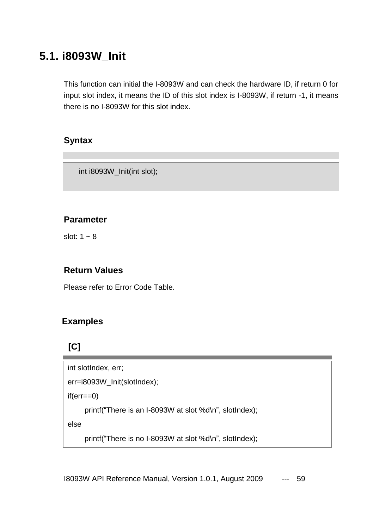# <span id="page-58-0"></span>**5.1. i8093W\_Init**

This function can initial the I-8093W and can check the hardware ID, if return 0 for input slot index, it means the ID of this slot index is I-8093W, if return -1, it means there is no I-8093W for this slot index.

#### **Syntax**

int i8093W\_Init(int slot);

#### **Parameter**

slot:  $1 \approx 8$ 

#### **Return Values**

Please refer to Error Code Table.

### **Examples**

### **[C]**

```
int slotIndex, err;
err=i8093W_Init(slotIndex);
if(err==0)
     printf("There is an I-8093W at slot %d\n", slotIndex);
```
else

printf("There is no I-8093W at slot %d\n", slotIndex);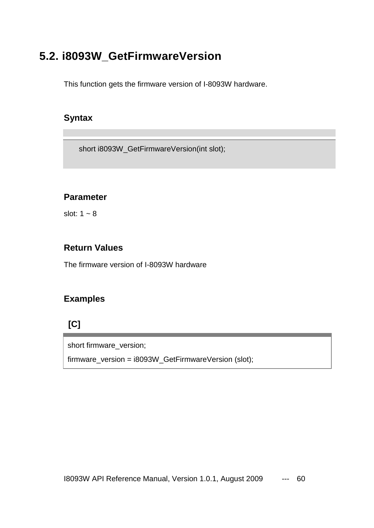### <span id="page-59-0"></span>**5.2. i8093W\_GetFirmwareVersion**

This function gets the firmware version of I-8093W hardware.

#### **Syntax**

short i8093W\_GetFirmwareVersion(int slot);

#### **Parameter**

slot:  $1 \approx 8$ 

#### **Return Values**

The firmware version of I-8093W hardware

#### **Examples**

### **[C]**

short firmware\_version;

firmware\_version = i8093W\_GetFirmwareVersion (slot);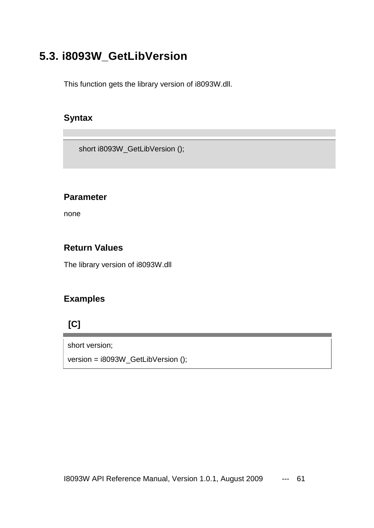# <span id="page-60-0"></span>**5.3. i8093W\_GetLibVersion**

This function gets the library version of i8093W.dll.

#### **Syntax**

short i8093W\_GetLibVersion ();

#### **Parameter**

none

#### **Return Values**

The library version of i8093W.dll

#### **Examples**

### **[C]**

short version;

version = i8093W\_GetLibVersion ();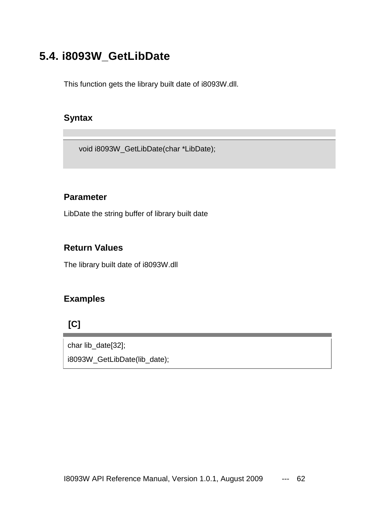# <span id="page-61-0"></span>**5.4. i8093W\_GetLibDate**

This function gets the library built date of i8093W.dll.

#### **Syntax**

void i8093W\_GetLibDate(char \*LibDate);

#### **Parameter**

LibDate the string buffer of library built date

#### **Return Values**

The library built date of i8093W.dll

#### **Examples**

### **[C]**

char lib\_date[32]; i8093W\_GetLibDate(lib\_date);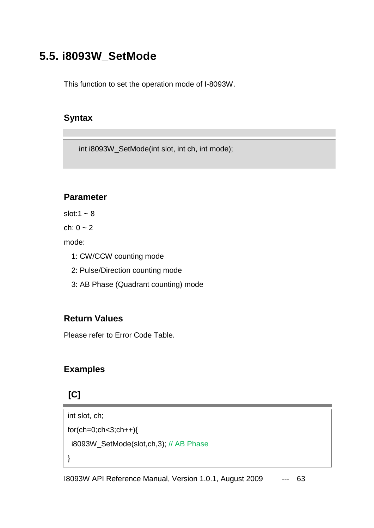# <span id="page-62-0"></span>**5.5. i8093W\_SetMode**

This function to set the operation mode of I-8093W.

#### **Syntax**

int i8093W\_SetMode(int slot, int ch, int mode);

#### **Parameter**

slot: $1 \sim 8$ 

ch: 0 ~ 2

mode:

- 1: CW/CCW counting mode
- 2: Pulse/Direction counting mode
- 3: AB Phase (Quadrant counting) mode

#### **Return Values**

Please refer to Error Code Table.

#### **Examples**

### **[C]**

int slot, ch;  $for(ch=0; ch < 3; ch++)$ { i8093W\_SetMode(slot,ch,3); // AB Phase }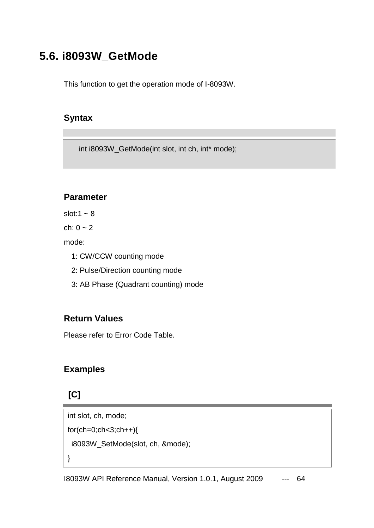# <span id="page-63-0"></span>**5.6. i8093W\_GetMode**

This function to get the operation mode of I-8093W.

#### **Syntax**

int i8093W\_GetMode(int slot, int ch, int\* mode);

#### **Parameter**

slot: $1 \sim 8$ 

ch: 0 ~ 2

mode:

- 1: CW/CCW counting mode
- 2: Pulse/Direction counting mode
- 3: AB Phase (Quadrant counting) mode

#### **Return Values**

Please refer to Error Code Table.

#### **Examples**

### **[C]**

int slot, ch, mode;  $for(ch=0; ch<3; ch++){}$ i8093W\_SetMode(slot, ch, &mode); }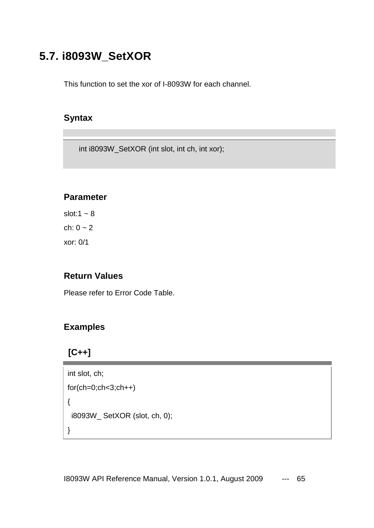# <span id="page-64-0"></span>**5.7. i8093W\_SetXOR**

This function to set the xor of I-8093W for each channel.

#### **Syntax**

int i8093W\_SetXOR (int slot, int ch, int xor);

#### **Parameter**

slot: $1 \sim 8$ ch:  $0 - 2$ xor: 0/1

#### **Return Values**

Please refer to Error Code Table.

#### **Examples**

#### **[C++]**

```
int slot, ch;
for(ch=0; ch<3; ch++){
 i8093W_ SetXOR (slot, ch, 0);
}
```
I8093W API Reference Manual, Version 1.0.1, August 2009 --- 65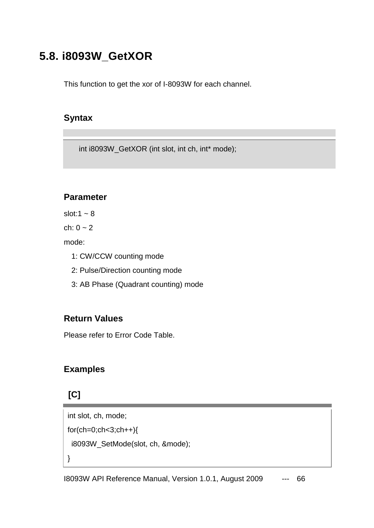# <span id="page-65-0"></span>**5.8. i8093W\_GetXOR**

This function to get the xor of I-8093W for each channel.

#### **Syntax**

int i8093W\_GetXOR (int slot, int ch, int\* mode);

#### **Parameter**

slot: $1 \sim 8$ 

ch: 0 ~ 2

mode:

- 1: CW/CCW counting mode
- 2: Pulse/Direction counting mode
- 3: AB Phase (Quadrant counting) mode

### **Return Values**

Please refer to Error Code Table.

### **Examples**

### **[C]**

int slot, ch, mode;  $for(ch=0; ch<3; ch++){}$ i8093W\_SetMode(slot, ch, &mode); }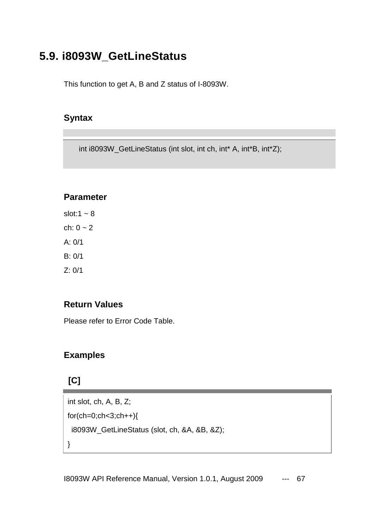# <span id="page-66-0"></span>**5.9. i8093W\_GetLineStatus**

This function to get A, B and Z status of I-8093W.

#### **Syntax**

int i8093W\_GetLineStatus (int slot, int ch, int\* A, int\*B, int\*Z);

#### **Parameter**

slot: $1 \approx 8$ ch:  $0 - 2$ A: 0/1 B: 0/1 Z: 0/1

#### **Return Values**

Please refer to Error Code Table.

#### **Examples**

### **[C]**

int slot, ch, A, B, Z;  $for(ch=0; ch < 3; ch++)$ { i8093W\_GetLineStatus (slot, ch, &A, &B, &Z); }

I8093W API Reference Manual, Version 1.0.1, August 2009 --- 67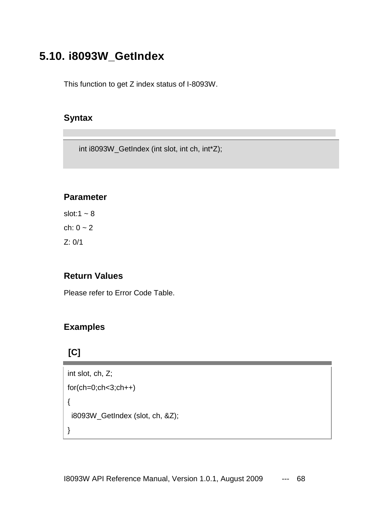# <span id="page-67-0"></span>**5.10. i8093W\_GetIndex**

This function to get Z index status of I-8093W.

#### **Syntax**

int i8093W\_GetIndex (int slot, int ch, int\*Z);

#### **Parameter**

slot: $1 \sim 8$ ch:  $0 - 2$ Z: 0/1

#### **Return Values**

Please refer to Error Code Table.

#### **Examples**

```
int slot, ch, Z;
for(ch=0; ch<3; ch++){
 i8093W_GetIndex (slot, ch, &Z);
}
```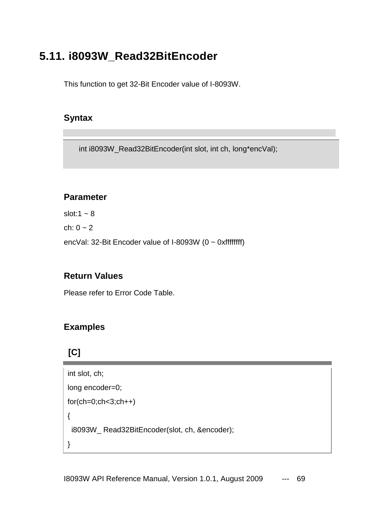# <span id="page-68-0"></span>**5.11. i8093W\_Read32BitEncoder**

This function to get 32-Bit Encoder value of I-8093W.

#### **Syntax**

int i8093W\_Read32BitEncoder(int slot, int ch, long\*encVal);

#### **Parameter**

slot: $1 \approx 8$ ch: 0 ~ 2 encVal: 32-Bit Encoder value of I-8093W (0 ~ 0xffffffff)

#### **Return Values**

Please refer to Error Code Table.

#### **Examples**

```
int slot, ch;
long encoder=0;
for(ch=0; ch<3; ch++){
 i8093W_ Read32BitEncoder(slot, ch, &encoder);
}
```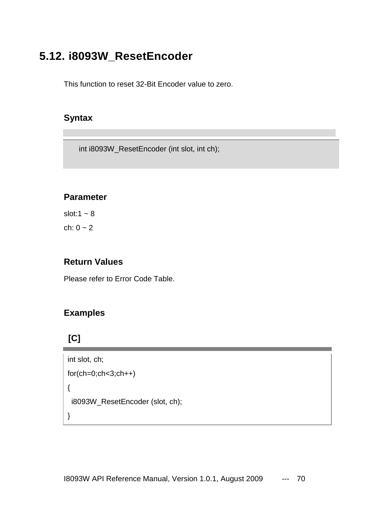# <span id="page-69-0"></span>**5.12. i8093W\_ResetEncoder**

This function to reset 32-Bit Encoder value to zero.

#### **Syntax**

int i8093W\_ResetEncoder (int slot, int ch);

#### **Parameter**

slot: $1 \sim 8$ ch:  $0 - 2$ 

#### **Return Values**

Please refer to Error Code Table.

### **Examples**

```
int slot, ch;
for(ch=0; ch<3; ch++){
 i8093W_ResetEncoder (slot, ch);
}
```